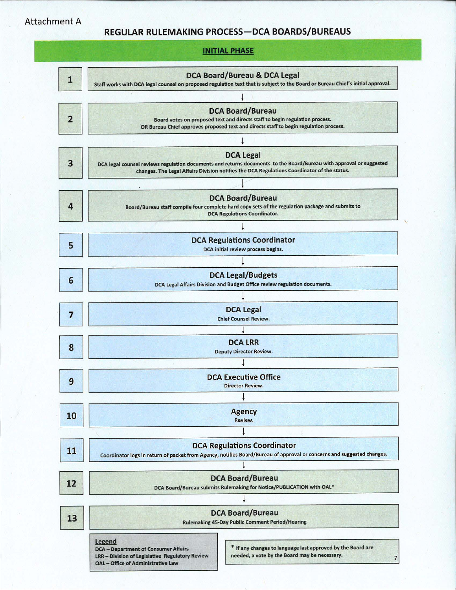Attachment A

## REGULAR RULEMAKING PROCESS-DCA BOARDS/BUREAUS